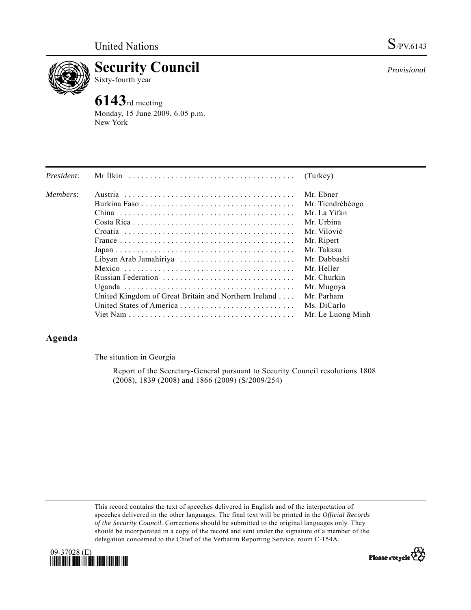

**Security Council** 

## Sixty-fourth year

# **6143**rd meeting

Monday, 15 June 2009, 6.05 p.m. New York

| President: |                                                                                                               | (Turkey)          |
|------------|---------------------------------------------------------------------------------------------------------------|-------------------|
| Members:   |                                                                                                               | Mr. Ebner         |
|            |                                                                                                               | Mr. Tiendrébéogo  |
|            |                                                                                                               | Mr. La Yifan      |
|            |                                                                                                               | Mr. Urbina        |
|            |                                                                                                               | Mr. Vilović       |
|            |                                                                                                               | Mr. Ripert        |
|            | $Japan \dots \dots \dots \dots \dots \dots \dots \dots \dots \dots \dots \dots \dots \dots \dots \dots \dots$ | Mr. Takasu        |
|            | Libyan Arab Jamahiriya                                                                                        | Mr. Dabbashi      |
|            |                                                                                                               | Mr. Heller        |
|            | Russian Federation                                                                                            | Mr. Churkin       |
|            |                                                                                                               | Mr. Mugoya        |
|            | United Kingdom of Great Britain and Northern Ireland                                                          | Mr. Parham        |
|            |                                                                                                               | Ms. DiCarlo       |
|            |                                                                                                               | Mr. Le Luong Minh |

### **Agenda**

The situation in Georgia

 Report of the Secretary-General pursuant to Security Council resolutions 1808 (2008), 1839 (2008) and 1866 (2009) (S/2009/254)

This record contains the text of speeches delivered in English and of the interpretation of speeches delivered in the other languages. The final text will be printed in the *Official Records of the Security Council*. Corrections should be submitted to the original languages only. They should be incorporated in a copy of the record and sent under the signature of a member of the delegation concerned to the Chief of the Verbatim Reporting Service, room C-154A.





*Provisional*

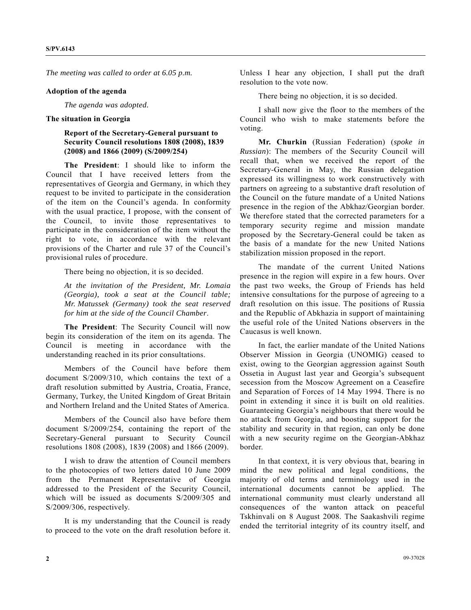*The meeting was called to order at 6.05 p.m.* 

#### **Adoption of the agenda**

 *The agenda was adopted.* 

#### **The situation in Georgia**

### **Report of the Secretary-General pursuant to Security Council resolutions 1808 (2008), 1839 (2008) and 1866 (2009) (S/2009/254)**

**The President**: I should like to inform the Council that I have received letters from the representatives of Georgia and Germany, in which they request to be invited to participate in the consideration of the item on the Council's agenda. In conformity with the usual practice, I propose, with the consent of the Council, to invite those representatives to participate in the consideration of the item without the right to vote, in accordance with the relevant provisions of the Charter and rule 37 of the Council's provisional rules of procedure.

There being no objection, it is so decided.

*At the invitation of the President, Mr. Lomaia (Georgia), took a seat at the Council table; Mr. Matussek (Germany) took the seat reserved for him at the side of the Council Chamber*.

**The President**: The Security Council will now begin its consideration of the item on its agenda. The Council is meeting in accordance with the understanding reached in its prior consultations.

 Members of the Council have before them document S/2009/310, which contains the text of a draft resolution submitted by Austria, Croatia, France, Germany, Turkey, the United Kingdom of Great Britain and Northern Ireland and the United States of America.

 Members of the Council also have before them document S/2009/254, containing the report of the Secretary-General pursuant to Security Council resolutions 1808 (2008), 1839 (2008) and 1866 (2009).

 I wish to draw the attention of Council members to the photocopies of two letters dated 10 June 2009 from the Permanent Representative of Georgia addressed to the President of the Security Council, which will be issued as documents S/2009/305 and S/2009/306, respectively.

 It is my understanding that the Council is ready to proceed to the vote on the draft resolution before it.

Unless I hear any objection, I shall put the draft resolution to the vote now.

There being no objection, it is so decided.

 I shall now give the floor to the members of the Council who wish to make statements before the voting.

**Mr. Churkin** (Russian Federation) (*spoke in Russian*): The members of the Security Council will recall that, when we received the report of the Secretary-General in May, the Russian delegation expressed its willingness to work constructively with partners on agreeing to a substantive draft resolution of the Council on the future mandate of a United Nations presence in the region of the Abkhaz/Georgian border. We therefore stated that the corrected parameters for a temporary security regime and mission mandate proposed by the Secretary-General could be taken as the basis of a mandate for the new United Nations stabilization mission proposed in the report.

 The mandate of the current United Nations presence in the region will expire in a few hours. Over the past two weeks, the Group of Friends has held intensive consultations for the purpose of agreeing to a draft resolution on this issue. The positions of Russia and the Republic of Abkhazia in support of maintaining the useful role of the United Nations observers in the Caucasus is well known.

 In fact, the earlier mandate of the United Nations Observer Mission in Georgia (UNOMIG) ceased to exist, owing to the Georgian aggression against South Ossetia in August last year and Georgia's subsequent secession from the Moscow Agreement on a Ceasefire and Separation of Forces of 14 May 1994. There is no point in extending it since it is built on old realities. Guaranteeing Georgia's neighbours that there would be no attack from Georgia, and boosting support for the stability and security in that region, can only be done with a new security regime on the Georgian-Abkhaz border.

 In that context, it is very obvious that, bearing in mind the new political and legal conditions, the majority of old terms and terminology used in the international documents cannot be applied. The international community must clearly understand all consequences of the wanton attack on peaceful Tskhinvali on 8 August 2008. The Saakashvili regime ended the territorial integrity of its country itself, and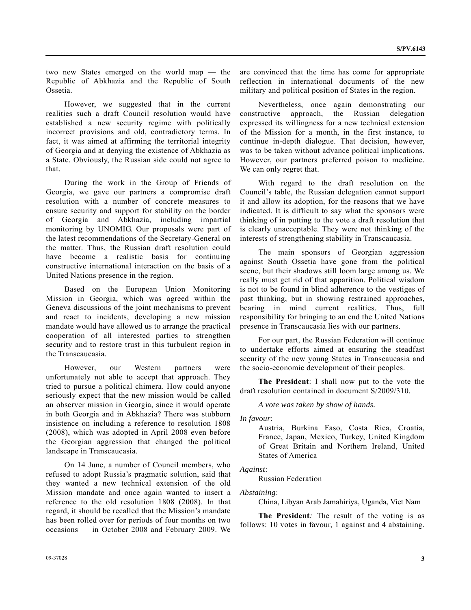two new States emerged on the world map — the Republic of Abkhazia and the Republic of South Ossetia.

 However, we suggested that in the current realities such a draft Council resolution would have established a new security regime with politically incorrect provisions and old, contradictory terms. In fact, it was aimed at affirming the territorial integrity of Georgia and at denying the existence of Abkhazia as a State. Obviously, the Russian side could not agree to that.

 During the work in the Group of Friends of Georgia, we gave our partners a compromise draft resolution with a number of concrete measures to ensure security and support for stability on the border of Georgia and Abkhazia, including impartial monitoring by UNOMIG. Our proposals were part of the latest recommendations of the Secretary-General on the matter. Thus, the Russian draft resolution could have become a realistic basis for continuing constructive international interaction on the basis of a United Nations presence in the region.

 Based on the European Union Monitoring Mission in Georgia, which was agreed within the Geneva discussions of the joint mechanisms to prevent and react to incidents, developing a new mission mandate would have allowed us to arrange the practical cooperation of all interested parties to strengthen security and to restore trust in this turbulent region in the Transcaucasia.

 However, our Western partners were unfortunately not able to accept that approach. They tried to pursue a political chimera. How could anyone seriously expect that the new mission would be called an observer mission in Georgia, since it would operate in both Georgia and in Abkhazia? There was stubborn insistence on including a reference to resolution 1808 (2008), which was adopted in April 2008 even before the Georgian aggression that changed the political landscape in Transcaucasia.

 On 14 June, a number of Council members, who refused to adopt Russia's pragmatic solution, said that they wanted a new technical extension of the old Mission mandate and once again wanted to insert a reference to the old resolution 1808 (2008). In that regard, it should be recalled that the Mission's mandate has been rolled over for periods of four months on two occasions — in October 2008 and February 2009. We

are convinced that the time has come for appropriate reflection in international documents of the new military and political position of States in the region.

 Nevertheless, once again demonstrating our constructive approach, the Russian delegation expressed its willingness for a new technical extension of the Mission for a month, in the first instance, to continue in-depth dialogue. That decision, however, was to be taken without advance political implications. However, our partners preferred poison to medicine. We can only regret that.

 With regard to the draft resolution on the Council's table, the Russian delegation cannot support it and allow its adoption, for the reasons that we have indicated. It is difficult to say what the sponsors were thinking of in putting to the vote a draft resolution that is clearly unacceptable. They were not thinking of the interests of strengthening stability in Transcaucasia.

 The main sponsors of Georgian aggression against South Ossetia have gone from the political scene, but their shadows still loom large among us. We really must get rid of that apparition. Political wisdom is not to be found in blind adherence to the vestiges of past thinking, but in showing restrained approaches, bearing in mind current realities. Thus, full responsibility for bringing to an end the United Nations presence in Transcaucasia lies with our partners.

 For our part, the Russian Federation will continue to undertake efforts aimed at ensuring the steadfast security of the new young States in Transcaucasia and the socio-economic development of their peoples.

**The President**: I shall now put to the vote the draft resolution contained in document S/2009/310.

 *A vote was taken by show of hands.* 

*In favour*:

Austria, Burkina Faso, Costa Rica, Croatia, France, Japan, Mexico, Turkey, United Kingdom of Great Britain and Northern Ireland, United States of America

*Against*:

Russian Federation

*Abstaining*:

China, Libyan Arab Jamahiriya, Uganda, Viet Nam

 **The President***:* The result of the voting is as follows: 10 votes in favour, 1 against and 4 abstaining.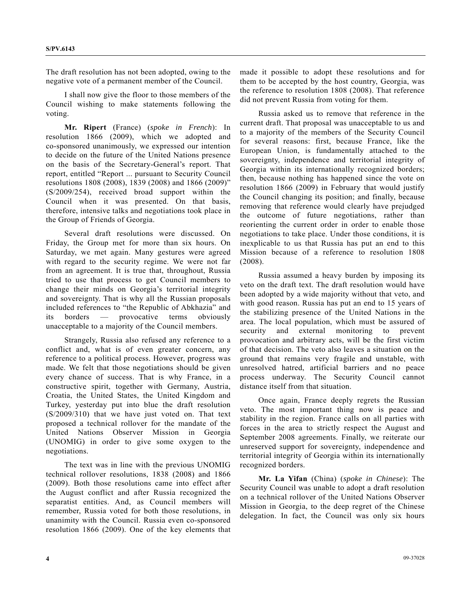The draft resolution has not been adopted, owing to the negative vote of a permanent member of the Council.

 I shall now give the floor to those members of the Council wishing to make statements following the voting.

**Mr. Ripert** (France) (*spoke in French*): In resolution 1866 (2009), which we adopted and co-sponsored unanimously, we expressed our intention to decide on the future of the United Nations presence on the basis of the Secretary-General's report. That report, entitled "Report ... pursuant to Security Council resolutions 1808 (2008), 1839 (2008) and 1866 (2009)" (S/2009/254), received broad support within the Council when it was presented. On that basis, therefore, intensive talks and negotiations took place in the Group of Friends of Georgia.

 Several draft resolutions were discussed. On Friday, the Group met for more than six hours. On Saturday, we met again. Many gestures were agreed with regard to the security regime. We were not far from an agreement. It is true that, throughout, Russia tried to use that process to get Council members to change their minds on Georgia's territorial integrity and sovereignty. That is why all the Russian proposals included references to "the Republic of Abkhazia" and its borders — provocative terms obviously unacceptable to a majority of the Council members.

 Strangely, Russia also refused any reference to a conflict and, what is of even greater concern, any reference to a political process. However, progress was made. We felt that those negotiations should be given every chance of success. That is why France, in a constructive spirit, together with Germany, Austria, Croatia, the United States, the United Kingdom and Turkey, yesterday put into blue the draft resolution (S/2009/310) that we have just voted on. That text proposed a technical rollover for the mandate of the United Nations Observer Mission in Georgia (UNOMIG) in order to give some oxygen to the negotiations.

 The text was in line with the previous UNOMIG technical rollover resolutions, 1838 (2008) and 1866 (2009). Both those resolutions came into effect after the August conflict and after Russia recognized the separatist entities. And, as Council members will remember, Russia voted for both those resolutions, in unanimity with the Council. Russia even co-sponsored resolution 1866 (2009). One of the key elements that made it possible to adopt these resolutions and for them to be accepted by the host country, Georgia, was the reference to resolution 1808 (2008). That reference did not prevent Russia from voting for them.

 Russia asked us to remove that reference in the current draft. That proposal was unacceptable to us and to a majority of the members of the Security Council for several reasons: first, because France, like the European Union, is fundamentally attached to the sovereignty, independence and territorial integrity of Georgia within its internationally recognized borders; then, because nothing has happened since the vote on resolution 1866 (2009) in February that would justify the Council changing its position; and finally, because removing that reference would clearly have prejudged the outcome of future negotiations, rather than reorienting the current order in order to enable those negotiations to take place. Under those conditions, it is inexplicable to us that Russia has put an end to this Mission because of a reference to resolution 1808 (2008).

 Russia assumed a heavy burden by imposing its veto on the draft text. The draft resolution would have been adopted by a wide majority without that veto, and with good reason. Russia has put an end to 15 years of the stabilizing presence of the United Nations in the area. The local population, which must be assured of security and external monitoring to prevent provocation and arbitrary acts, will be the first victim of that decision. The veto also leaves a situation on the ground that remains very fragile and unstable, with unresolved hatred, artificial barriers and no peace process underway. The Security Council cannot distance itself from that situation.

 Once again, France deeply regrets the Russian veto. The most important thing now is peace and stability in the region. France calls on all parties with forces in the area to strictly respect the August and September 2008 agreements. Finally, we reiterate our unreserved support for sovereignty, independence and territorial integrity of Georgia within its internationally recognized borders.

**Mr. La Yifan** (China) (*spoke in Chinese*): The Security Council was unable to adopt a draft resolution on a technical rollover of the United Nations Observer Mission in Georgia, to the deep regret of the Chinese delegation. In fact, the Council was only six hours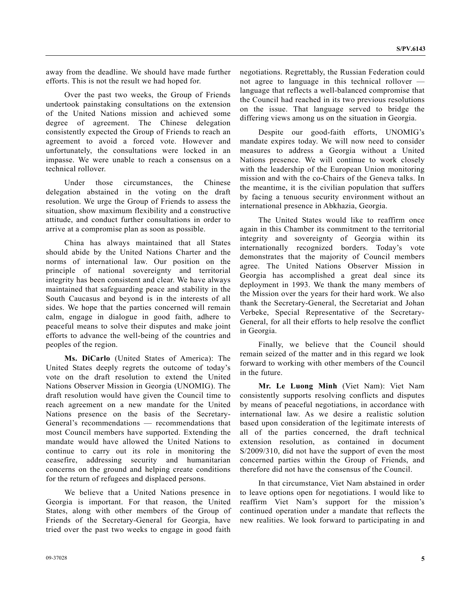away from the deadline. We should have made further efforts. This is not the result we had hoped for.

 Over the past two weeks, the Group of Friends undertook painstaking consultations on the extension of the United Nations mission and achieved some degree of agreement. The Chinese delegation consistently expected the Group of Friends to reach an agreement to avoid a forced vote. However and unfortunately, the consultations were locked in an impasse. We were unable to reach a consensus on a technical rollover.

 Under those circumstances, the Chinese delegation abstained in the voting on the draft resolution. We urge the Group of Friends to assess the situation, show maximum flexibility and a constructive attitude, and conduct further consultations in order to arrive at a compromise plan as soon as possible.

 China has always maintained that all States should abide by the United Nations Charter and the norms of international law. Our position on the principle of national sovereignty and territorial integrity has been consistent and clear. We have always maintained that safeguarding peace and stability in the South Caucasus and beyond is in the interests of all sides. We hope that the parties concerned will remain calm, engage in dialogue in good faith, adhere to peaceful means to solve their disputes and make joint efforts to advance the well-being of the countries and peoples of the region.

**Ms. DiCarlo** (United States of America): The United States deeply regrets the outcome of today's vote on the draft resolution to extend the United Nations Observer Mission in Georgia (UNOMIG). The draft resolution would have given the Council time to reach agreement on a new mandate for the United Nations presence on the basis of the Secretary-General's recommendations — recommendations that most Council members have supported. Extending the mandate would have allowed the United Nations to continue to carry out its role in monitoring the ceasefire, addressing security and humanitarian concerns on the ground and helping create conditions for the return of refugees and displaced persons.

 We believe that a United Nations presence in Georgia is important. For that reason, the United States, along with other members of the Group of Friends of the Secretary-General for Georgia, have tried over the past two weeks to engage in good faith

negotiations. Regrettably, the Russian Federation could not agree to language in this technical rollover language that reflects a well-balanced compromise that the Council had reached in its two previous resolutions on the issue. That language served to bridge the differing views among us on the situation in Georgia.

 Despite our good-faith efforts, UNOMIG's mandate expires today. We will now need to consider measures to address a Georgia without a United Nations presence. We will continue to work closely with the leadership of the European Union monitoring mission and with the co-Chairs of the Geneva talks. In the meantime, it is the civilian population that suffers by facing a tenuous security environment without an international presence in Abkhazia, Georgia.

 The United States would like to reaffirm once again in this Chamber its commitment to the territorial integrity and sovereignty of Georgia within its internationally recognized borders. Today's vote demonstrates that the majority of Council members agree. The United Nations Observer Mission in Georgia has accomplished a great deal since its deployment in 1993. We thank the many members of the Mission over the years for their hard work. We also thank the Secretary-General, the Secretariat and Johan Verbeke, Special Representative of the Secretary-General, for all their efforts to help resolve the conflict in Georgia.

 Finally, we believe that the Council should remain seized of the matter and in this regard we look forward to working with other members of the Council in the future.

**Mr. Le Luong Minh** (Viet Nam): Viet Nam consistently supports resolving conflicts and disputes by means of peaceful negotiations, in accordance with international law. As we desire a realistic solution based upon consideration of the legitimate interests of all of the parties concerned, the draft technical extension resolution, as contained in document S/2009/310, did not have the support of even the most concerned parties within the Group of Friends, and therefore did not have the consensus of the Council.

 In that circumstance, Viet Nam abstained in order to leave options open for negotiations. I would like to reaffirm Viet Nam's support for the mission's continued operation under a mandate that reflects the new realities. We look forward to participating in and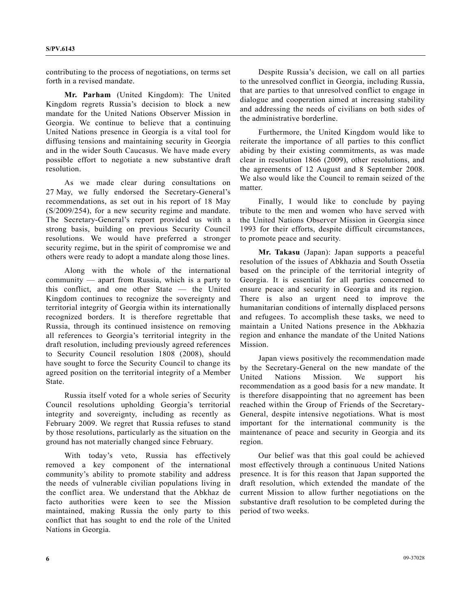contributing to the process of negotiations, on terms set forth in a revised mandate.

**Mr. Parham** (United Kingdom): The United Kingdom regrets Russia's decision to block a new mandate for the United Nations Observer Mission in Georgia. We continue to believe that a continuing United Nations presence in Georgia is a vital tool for diffusing tensions and maintaining security in Georgia and in the wider South Caucasus. We have made every possible effort to negotiate a new substantive draft resolution.

 As we made clear during consultations on 27 May, we fully endorsed the Secretary-General's recommendations, as set out in his report of 18 May (S/2009/254), for a new security regime and mandate. The Secretary-General's report provided us with a strong basis, building on previous Security Council resolutions. We would have preferred a stronger security regime, but in the spirit of compromise we and others were ready to adopt a mandate along those lines.

 Along with the whole of the international community — apart from Russia, which is a party to this conflict, and one other State — the United Kingdom continues to recognize the sovereignty and territorial integrity of Georgia within its internationally recognized borders. It is therefore regrettable that Russia, through its continued insistence on removing all references to Georgia's territorial integrity in the draft resolution, including previously agreed references to Security Council resolution 1808 (2008), should have sought to force the Security Council to change its agreed position on the territorial integrity of a Member State.

 Russia itself voted for a whole series of Security Council resolutions upholding Georgia's territorial integrity and sovereignty, including as recently as February 2009. We regret that Russia refuses to stand by those resolutions, particularly as the situation on the ground has not materially changed since February.

 With today's veto, Russia has effectively removed a key component of the international community's ability to promote stability and address the needs of vulnerable civilian populations living in the conflict area. We understand that the Abkhaz de facto authorities were keen to see the Mission maintained, making Russia the only party to this conflict that has sought to end the role of the United Nations in Georgia.

 Despite Russia's decision, we call on all parties to the unresolved conflict in Georgia, including Russia, that are parties to that unresolved conflict to engage in dialogue and cooperation aimed at increasing stability and addressing the needs of civilians on both sides of the administrative borderline.

 Furthermore, the United Kingdom would like to reiterate the importance of all parties to this conflict abiding by their existing commitments, as was made clear in resolution 1866 (2009), other resolutions, and the agreements of 12 August and 8 September 2008. We also would like the Council to remain seized of the matter.

 Finally, I would like to conclude by paying tribute to the men and women who have served with the United Nations Observer Mission in Georgia since 1993 for their efforts, despite difficult circumstances, to promote peace and security.

**Mr. Takasu** (Japan): Japan supports a peaceful resolution of the issues of Abkhazia and South Ossetia based on the principle of the territorial integrity of Georgia. It is essential for all parties concerned to ensure peace and security in Georgia and its region. There is also an urgent need to improve the humanitarian conditions of internally displaced persons and refugees. To accomplish these tasks, we need to maintain a United Nations presence in the Abkhazia region and enhance the mandate of the United Nations Mission.

 Japan views positively the recommendation made by the Secretary-General on the new mandate of the United Nations Mission. We support his recommendation as a good basis for a new mandate. It is therefore disappointing that no agreement has been reached within the Group of Friends of the Secretary-General, despite intensive negotiations. What is most important for the international community is the maintenance of peace and security in Georgia and its region.

 Our belief was that this goal could be achieved most effectively through a continuous United Nations presence. It is for this reason that Japan supported the draft resolution, which extended the mandate of the current Mission to allow further negotiations on the substantive draft resolution to be completed during the period of two weeks.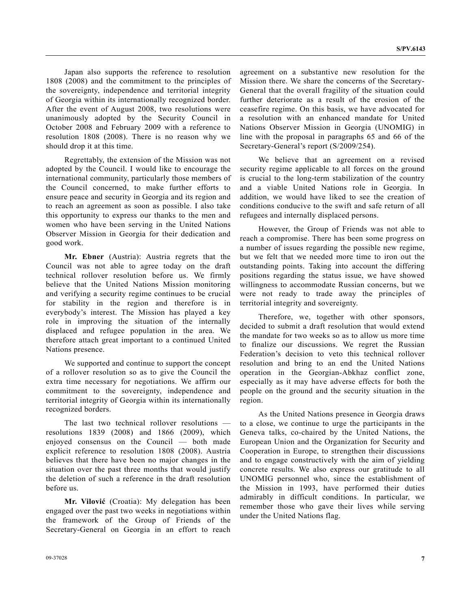Japan also supports the reference to resolution 1808 (2008) and the commitment to the principles of the sovereignty, independence and territorial integrity of Georgia within its internationally recognized border. After the event of August 2008, two resolutions were unanimously adopted by the Security Council in October 2008 and February 2009 with a reference to resolution 1808 (2008). There is no reason why we should drop it at this time.

 Regrettably, the extension of the Mission was not adopted by the Council. I would like to encourage the international community, particularly those members of the Council concerned, to make further efforts to ensure peace and security in Georgia and its region and to reach an agreement as soon as possible. I also take this opportunity to express our thanks to the men and women who have been serving in the United Nations Observer Mission in Georgia for their dedication and good work.

**Mr. Ebner** (Austria): Austria regrets that the Council was not able to agree today on the draft technical rollover resolution before us. We firmly believe that the United Nations Mission monitoring and verifying a security regime continues to be crucial for stability in the region and therefore is in everybody's interest. The Mission has played a key role in improving the situation of the internally displaced and refugee population in the area. We therefore attach great important to a continued United Nations presence.

 We supported and continue to support the concept of a rollover resolution so as to give the Council the extra time necessary for negotiations. We affirm our commitment to the sovereignty, independence and territorial integrity of Georgia within its internationally recognized borders.

 The last two technical rollover resolutions resolutions 1839 (2008) and 1866 (2009), which enjoyed consensus on the Council — both made explicit reference to resolution 1808 (2008). Austria believes that there have been no major changes in the situation over the past three months that would justify the deletion of such a reference in the draft resolution before us.

**Mr. Vilović** (Croatia): My delegation has been engaged over the past two weeks in negotiations within the framework of the Group of Friends of the Secretary-General on Georgia in an effort to reach agreement on a substantive new resolution for the Mission there. We share the concerns of the Secretary-General that the overall fragility of the situation could further deteriorate as a result of the erosion of the ceasefire regime. On this basis, we have advocated for a resolution with an enhanced mandate for United Nations Observer Mission in Georgia (UNOMIG) in line with the proposal in paragraphs 65 and 66 of the Secretary-General's report (S/2009/254).

 We believe that an agreement on a revised security regime applicable to all forces on the ground is crucial to the long-term stabilization of the country and a viable United Nations role in Georgia. In addition, we would have liked to see the creation of conditions conducive to the swift and safe return of all refugees and internally displaced persons.

 However, the Group of Friends was not able to reach a compromise. There has been some progress on a number of issues regarding the possible new regime, but we felt that we needed more time to iron out the outstanding points. Taking into account the differing positions regarding the status issue, we have showed willingness to accommodate Russian concerns, but we were not ready to trade away the principles of territorial integrity and sovereignty.

 Therefore, we, together with other sponsors, decided to submit a draft resolution that would extend the mandate for two weeks so as to allow us more time to finalize our discussions. We regret the Russian Federation's decision to veto this technical rollover resolution and bring to an end the United Nations operation in the Georgian-Abkhaz conflict zone, especially as it may have adverse effects for both the people on the ground and the security situation in the region.

 As the United Nations presence in Georgia draws to a close, we continue to urge the participants in the Geneva talks, co-chaired by the United Nations, the European Union and the Organization for Security and Cooperation in Europe, to strengthen their discussions and to engage constructively with the aim of yielding concrete results. We also express our gratitude to all UNOMIG personnel who, since the establishment of the Mission in 1993, have performed their duties admirably in difficult conditions. In particular, we remember those who gave their lives while serving under the United Nations flag.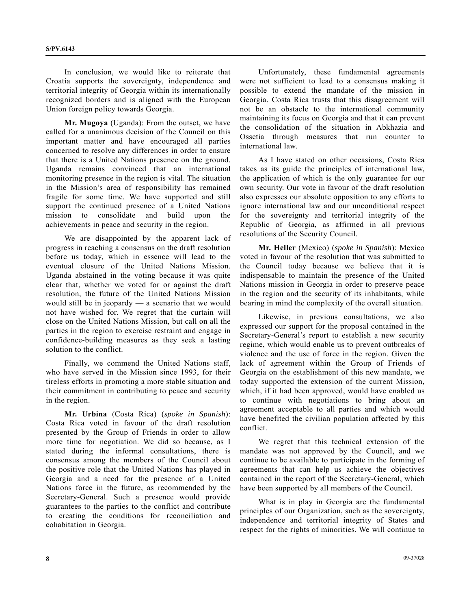In conclusion, we would like to reiterate that Croatia supports the sovereignty, independence and territorial integrity of Georgia within its internationally recognized borders and is aligned with the European Union foreign policy towards Georgia.

**Mr. Mugoya** (Uganda): From the outset, we have called for a unanimous decision of the Council on this important matter and have encouraged all parties concerned to resolve any differences in order to ensure that there is a United Nations presence on the ground. Uganda remains convinced that an international monitoring presence in the region is vital. The situation in the Mission's area of responsibility has remained fragile for some time. We have supported and still support the continued presence of a United Nations mission to consolidate and build upon the achievements in peace and security in the region.

 We are disappointed by the apparent lack of progress in reaching a consensus on the draft resolution before us today, which in essence will lead to the eventual closure of the United Nations Mission. Uganda abstained in the voting because it was quite clear that, whether we voted for or against the draft resolution, the future of the United Nations Mission would still be in jeopardy — a scenario that we would not have wished for. We regret that the curtain will close on the United Nations Mission, but call on all the parties in the region to exercise restraint and engage in confidence-building measures as they seek a lasting solution to the conflict.

 Finally, we commend the United Nations staff, who have served in the Mission since 1993, for their tireless efforts in promoting a more stable situation and their commitment in contributing to peace and security in the region.

**Mr. Urbina** (Costa Rica) (*spoke in Spanish*): Costa Rica voted in favour of the draft resolution presented by the Group of Friends in order to allow more time for negotiation. We did so because, as I stated during the informal consultations, there is consensus among the members of the Council about the positive role that the United Nations has played in Georgia and a need for the presence of a United Nations force in the future, as recommended by the Secretary-General. Such a presence would provide guarantees to the parties to the conflict and contribute to creating the conditions for reconciliation and cohabitation in Georgia.

 Unfortunately, these fundamental agreements were not sufficient to lead to a consensus making it possible to extend the mandate of the mission in Georgia. Costa Rica trusts that this disagreement will not be an obstacle to the international community maintaining its focus on Georgia and that it can prevent the consolidation of the situation in Abkhazia and Ossetia through measures that run counter to international law.

 As I have stated on other occasions, Costa Rica takes as its guide the principles of international law, the application of which is the only guarantee for our own security. Our vote in favour of the draft resolution also expresses our absolute opposition to any efforts to ignore international law and our unconditional respect for the sovereignty and territorial integrity of the Republic of Georgia, as affirmed in all previous resolutions of the Security Council.

**Mr. Heller** (Mexico) (*spoke in Spanish*): Mexico voted in favour of the resolution that was submitted to the Council today because we believe that it is indispensable to maintain the presence of the United Nations mission in Georgia in order to preserve peace in the region and the security of its inhabitants, while bearing in mind the complexity of the overall situation.

 Likewise, in previous consultations, we also expressed our support for the proposal contained in the Secretary-General's report to establish a new security regime, which would enable us to prevent outbreaks of violence and the use of force in the region. Given the lack of agreement within the Group of Friends of Georgia on the establishment of this new mandate, we today supported the extension of the current Mission, which, if it had been approved, would have enabled us to continue with negotiations to bring about an agreement acceptable to all parties and which would have benefited the civilian population affected by this conflict.

 We regret that this technical extension of the mandate was not approved by the Council, and we continue to be available to participate in the forming of agreements that can help us achieve the objectives contained in the report of the Secretary-General, which have been supported by all members of the Council.

 What is in play in Georgia are the fundamental principles of our Organization, such as the sovereignty, independence and territorial integrity of States and respect for the rights of minorities. We will continue to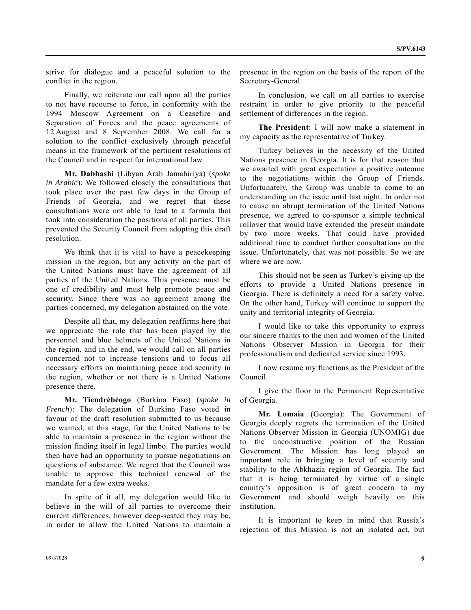strive for dialogue and a peaceful solution to the conflict in the region.

 Finally, we reiterate our call upon all the parties to not have recourse to force, in conformity with the 1994 Moscow Agreement on a Ceasefire and Separation of Forces and the peace agreements of 12 August and 8 September 2008. We call for a solution to the conflict exclusively through peaceful means in the framework of the pertinent resolutions of the Council and in respect for international law.

**Mr. Dabbashi** (Libyan Arab Jamahiriya) (*spoke in Arabic*): We followed closely the consultations that took place over the past few days in the Group of Friends of Georgia, and we regret that these consultations were not able to lead to a formula that took into consideration the positions of all parties. This prevented the Security Council from adopting this draft resolution.

 We think that it is vital to have a peacekeeping mission in the region, but any activity on the part of the United Nations must have the agreement of all parties of the United Nations. This presence must be one of credibility and must help promote peace and security. Since there was no agreement among the parties concerned, my delegation abstained on the vote.

 Despite all that, my delegation reaffirms here that we appreciate the role that has been played by the personnel and blue helmets of the United Nations in the region, and in the end, we would call on all parties concerned not to increase tensions and to focus all necessary efforts on maintaining peace and security in the region, whether or not there is a United Nations presence there.

**Mr. Tiendrébéogo** (Burkina Faso) (*spoke in French*): The delegation of Burkina Faso voted in favour of the draft resolution submitted to us because we wanted, at this stage, for the United Nations to be able to maintain a presence in the region without the mission finding itself in legal limbo. The parties would then have had an opportunity to pursue negotiations on questions of substance. We regret that the Council was unable to approve this technical renewal of the mandate for a few extra weeks.

 In spite of it all, my delegation would like to believe in the will of all parties to overcome their current differences, however deep-seated they may be, in order to allow the United Nations to maintain a

 In conclusion, we call on all parties to exercise restraint in order to give priority to the peaceful settlement of differences in the region.

**The President**: I will now make a statement in my capacity as the representative of Turkey.

 Turkey believes in the necessity of the United Nations presence in Georgia. It is for that reason that we awaited with great expectation a positive outcome to the negotiations within the Group of Friends. Unfortunately, the Group was unable to come to an understanding on the issue until last night. In order not to cause an abrupt termination of the United Nations presence, we agreed to co-sponsor a simple technical rollover that would have extended the present mandate by two more weeks. That could have provided additional time to conduct further consultations on the issue. Unfortunately, that was not possible. So we are where we are now.

 This should not be seen as Turkey's giving up the efforts to provide a United Nations presence in Georgia. There is definitely a need for a safety valve. On the other hand, Turkey will continue to support the unity and territorial integrity of Georgia.

 I would like to take this opportunity to express our sincere thanks to the men and women of the United Nations Observer Mission in Georgia for their professionalism and dedicated service since 1993.

 I now resume my functions as the President of the Council.

 I give the floor to the Permanent Representative of Georgia.

**Mr. Lomaia** (Georgia): The Government of Georgia deeply regrets the termination of the United Nations Observer Mission in Georgia (UNOMIG) due to the unconstructive position of the Russian Government. The Mission has long played an important role in bringing a level of security and stability to the Abkhazia region of Georgia. The fact that it is being terminated by virtue of a single country's opposition is of great concern to my Government and should weigh heavily on this institution.

 It is important to keep in mind that Russia's rejection of this Mission is not an isolated act, but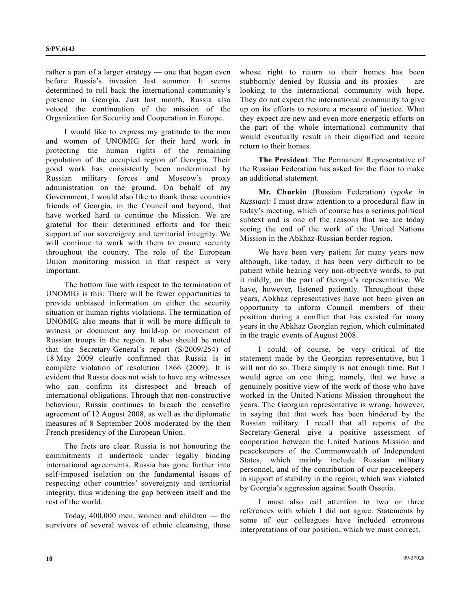rather a part of a larger strategy — one that began even before Russia's invasion last summer. It seems determined to roll back the international community's presence in Georgia. Just last month, Russia also vetoed the continuation of the mission of the Organization for Security and Cooperation in Europe.

 I would like to express my gratitude to the men and women of UNOMIG for their hard work in protecting the human rights of the remaining population of the occupied region of Georgia. Their good work has consistently been undermined by Russian military forces and Moscow's proxy administration on the ground. On behalf of my Government, I would also like to thank those countries friends of Georgia, in the Council and beyond, that have worked hard to continue the Mission. We are grateful for their determined efforts and for their support of our sovereignty and territorial integrity. We will continue to work with them to ensure security throughout the country. The role of the European Union monitoring mission in that respect is very important.

 The bottom line with respect to the termination of UNOMIG is this: There will be fewer opportunities to provide unbiased information on either the security situation or human rights violations. The termination of UNOMIG also means that it will be more difficult to witness or document any build-up or movement of Russian troops in the region. It also should be noted that the Secretary-General's report (S/2009/254) of 18 May 2009 clearly confirmed that Russia is in complete violation of resolution 1866 (2009). It is evident that Russia does not wish to have any witnesses who can confirm its disrespect and breach of international obligations. Through that non-constructive behaviour, Russia continues to breach the ceasefire agreement of 12 August 2008, as well as the diplomatic measures of 8 September 2008 moderated by the then French presidency of the European Union.

 The facts are clear. Russia is not honouring the commitments it undertook under legally binding international agreements. Russia has gone further into self-imposed isolation on the fundamental issues of respecting other countries' sovereignty and territorial integrity, thus widening the gap between itself and the rest of the world.

 Today, 400,000 men, women and children — the survivors of several waves of ethnic cleansing, those whose right to return to their homes has been stubbornly denied by Russia and its proxies — are looking to the international community with hope. They do not expect the international community to give up on its efforts to restore a measure of justice. What they expect are new and even more energetic efforts on the part of the whole international community that would eventually result in their dignified and secure return to their homes.

**The President**: The Permanent Representative of the Russian Federation has asked for the floor to make an additional statement.

**Mr. Churkin** (Russian Federation) (*spoke in Russian*): I must draw attention to a procedural flaw in today's meeting, which of course has a serious political subtext and is one of the reasons that we are today seeing the end of the work of the United Nations Mission in the Abkhaz-Russian border region.

 We have been very patient for many years now although, like today, it has been very difficult to be patient while hearing very non-objective words, to put it mildly, on the part of Georgia's representative. We have, however, listened patiently. Throughout these years, Abkhaz representatives have not been given an opportunity to inform Council members of their position during a conflict that has existed for many years in the Abkhaz Georgian region, which culminated in the tragic events of August 2008.

 I could, of course, be very critical of the statement made by the Georgian representative, but I will not do so. There simply is not enough time. But I would agree on one thing, namely, that we have a genuinely positive view of the work of those who have worked in the United Nations Mission throughout the years. The Georgian representative is wrong, however, in saying that that work has been hindered by the Russian military. I recall that all reports of the Secretary-General give a positive assessment of cooperation between the United Nations Mission and peacekeepers of the Commonwealth of Independent States, which mainly include Russian military personnel, and of the contribution of our peacekeepers in support of stability in the region, which was violated by Georgia's aggression against South Ossetia.

 I must also call attention to two or three references with which I did not agree. Statements by some of our colleagues have included erroneous interpretations of our position, which we must correct.